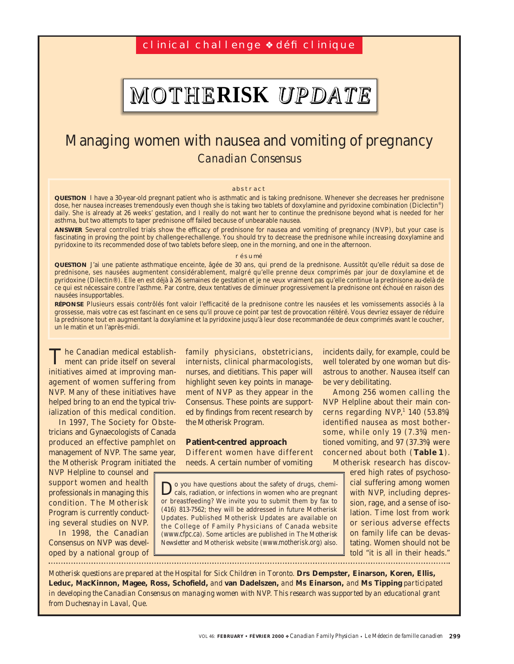## cl inical challenge <sup>↓</sup> défi clinique

# MOTHE**RISK** *UPDATE*

# Managing women with nausea and vomiting of pregnancy *Canadian Consensus*

#### abstract

**QUESTION** I have a 30-year-old pregnant patient who is asthmatic and is taking prednisone. Whenever she decreases her prednisone dose, her nausea increases tremendously even though she is taking two tablets of doxylamine and pyridoxine combination (Diclectin®) daily. She is already at 26 weeks' gestation, and I really do not want her to continue the prednisone beyond what is needed for her asthma, but two attempts to taper prednisone off failed because of unbearable nausea.

**ANSWER** Several controlled trials show the efficacy of prednisone for nausea and vomiting of pregnancy (NVP), but your case is fascinating in proving the point by challenge-rechallenge. You should try to decrease the prednisone while increasing doxylamine and pyridoxine to its recommended dose of two tablets before sleep, one in the morning, and one in the afternoon.

#### résumé

**QUESTION** J'ai une patiente asthmatique enceinte, âgée de 30 ans, qui prend de la prednisone. Aussitôt qu'elle réduit sa dose de prednisone, ses nausées augmentent considérablement, malgré qu'elle prenne deux comprimés par jour de doxylamine et de pyridoxine (Dilectin®). Elle en est déjà à 26 semaines de gestation et je ne veux vraiment pas qu'elle continue la prednisone au-delà de ce qui est nécessaire contre l'asthme. Par contre, deux tentatives de diminuer progressivement la prednisone ont échoué en raison des nausées insupportables.

**RÉPONSE** Plusieurs essais contrôlés font valoir l'efficacité de la prednisone contre les nausées et les vomissements associés à la grossesse, mais votre cas est fascinant en ce sens qu'il prouve ce point par test de provocation réitéré. Vous devriez essayer de réduire la prednisone tout en augmentant la doxylamine et la pyridoxine jusqu'à leur dose recommandée de deux comprimés avant le coucher, un le matin et un l'après-midi.

The Canadian medical establish-ment can pride itself on several initiatives aimed at improving management of women suffering from NVP. Many of these initiatives have helped bring to an end the typical trivialization of this medical condition.

In 1997, The Society for Obstetricians and Gynaecologists of Canada produced an effective pamphlet on management of NVP. The same year, the Motherisk Program initiated the

NVP Helpline to counsel and support women and health professionals in managing this condition. The Motherisk Program is currently conducting several studies on NVP.

In 1998, the Canadian Consensus on NVP was developed by a national group of 

family physicians, obstetricians, internists, clinical pharmacologists, nurses, and dietitians. This paper will highlight seven key points in management of NVP as they appear in the Consensus. These points are supported by findings from recent research by the Motherisk Program.

#### **Patient-centred approach**

Different women have different needs. A certain number of vomiting

Do you have questions about the safety of drugs, chemi-cals, radiation, or infections in women who are pregnant or breastfeeding? We invite you to submit them by fax to (416) 813-7562; they will be addressed in future Motherisk Updates. Published Motherisk Updates are available on the College of Family Physicians of Canada website (www.cfpc.ca). Some articles are published in *The Motherisk Newsletter* and Motherisk website (www.motherisk.org) also.

incidents daily, for example, could be well tolerated by one woman but disastrous to another. Nausea itself can be very debilitating.

Among 256 women calling the NVP Helpline about their main concerns regarding  $NVP<sup>1</sup> 140 (53.8%)$ identified nausea as most bothersome, while only 19 (7.3%) mentioned vomiting, and 97 (37.3%) were concerned about both (**Table 1**). Motherisk research has discov-

ered high rates of psychosocial suffering among women with NVP, including depression, rage, and a sense of isolation. Time lost from work or serious adverse effects on family life can be devastating. Women should not be told "it is all in their heads."

*Motherisk questions are prepared at the Hospital for Sick Children in Toronto.* **Drs Dempster, Einarson, Koren, Ellis, Leduc, MacKinnon, Magee, Ross, Schofield,** *and* **van Dadelszen,** *and* **Ms Einarson,** *and* **Ms Tipping** *participated in developing the Canadian Consensus on managing women with NVP. This research was supported by an educational grant from Duchesnay in Laval, Que.*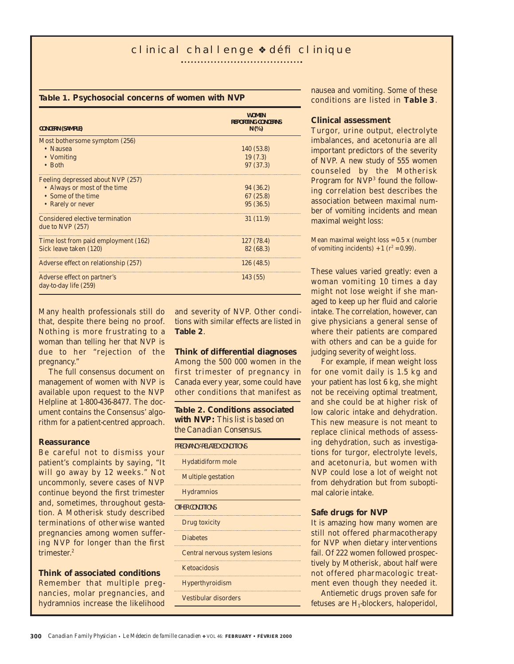#### **Table 1. Psychosocial concerns of women with NVP**

| <b>CONCERN (SAMPLE)</b>                               | <b>WOMEN</b><br><b>REPORTING CONCERNS</b><br>N(% ) |
|-------------------------------------------------------|----------------------------------------------------|
| Most bothersome symptom (256)                         |                                                    |
| $\bullet$ Nausea                                      | 140 (53.8)                                         |
| • Vomiting                                            | 19(7.3)                                            |
| $\bullet$ Both                                        | 97 (37.3)                                          |
| Feeling depressed about NVP (257)                     |                                                    |
| • Always or most of the time                          | 94 (36.2)                                          |
| • Some of the time                                    | 67(25.8)                                           |
| • Rarely or never                                     | 95(36.5)                                           |
| Considered elective termination<br>due to NVP $(257)$ | 31 (11.9)                                          |
| Time lost from paid employment (162)                  | 127 (78.4)                                         |
| Sick leave taken (120)                                | 82 (68.3)                                          |
| Adverse effect on relationship (257)                  | 126 (48.5)                                         |
| Adverse effect on partner's<br>day-to-day life (259)  | 143 (55)                                           |

Many health professionals still do that, despite there being no proof. Nothing is more frustrating to a woman than telling her that NVP is due to her "rejection of the pregnancy."

The full consensus document on management of women with NVP is available upon request to the NVP Helpline at 1-800-436-8477. The document contains the Consensus' algorithm for a patient-centred approach.

#### **Reassurance**

Be careful not to dismiss your patient's complaints by saying, "It will go away by 12 weeks." Not uncommonly, severe cases of NVP continue beyond the first trimester and, sometimes, throughout gestation. A Motherisk study described terminations of otherwise wanted pregnancies among women suffering NVP for longer than the first trimester.<sup>2</sup>

#### **Think of associated conditions**

Remember that multiple pregnancies, molar pregnancies, and hydramnios increase the likelihood and severity of NVP. Other conditions with similar effects are listed in **Table 2**.

#### **Think of differential diagnoses**

Among the 500 000 women in the first trimester of pregnancy in Canada every year, some could have other conditions that manifest as

**Table 2. Conditions associated with NVP:** *This list is based on the Canadian Consensus.*

| PREGNANCY-RELATED CONDITIONS   |
|--------------------------------|
| <b>Hydatidiform mole</b>       |
| <b>Multiple gestation</b>      |
| <b>Hydramnios</b>              |
| OTHER CONDITIONS               |
| Drug toxicity                  |
| <b>Diabetes</b>                |
| Central nervous system lesions |
| <b>Ketoacidosis</b>            |
| <b>Hyperthyroidism</b>         |
| Vestibular disorders           |
|                                |

nausea and vomiting. Some of these conditions are listed in **Table 3**.

#### **Clinical assessment**

Turgor, urine output, electrolyte imbalances, and acetonuria are all important predictors of the severity of NVP. A new study of 555 women counseled by the Motherisk Program for NVP3 found the following correlation best describes the association between maximal number of vomiting incidents and mean maximal weight loss:

Mean maximal weight loss = 0.5 x (number of vomiting incidents) + 1 ( $r^2$  = 0.99).

These values varied greatly: even a woman vomiting 10 times a day might not lose weight if she managed to keep up her fluid and calorie intake. The correlation, however, can give physicians a general sense of where their patients are compared with others and can be a guide for judging severity of weight loss.

For example, if mean weight loss for one vomit daily is 1.5 kg and your patient has lost 6 kg, she might not be receiving optimal treatment, and she could be at higher risk of low caloric intake and dehydration. This new measure is not meant to replace clinical methods of assessing dehydration, such as investigations for turgor, electrolyte levels, and acetonuria, but women with NVP could lose a lot of weight not from dehydration but from suboptimal calorie intake.

#### **Safe drugs for NVP**

It is amazing how many women are still not offered pharmacotherapy for NVP when dietary interventions fail. Of 222 women followed prospectively by Motherisk, about half were not offered pharmacologic treatment even though they needed it.

Antiemetic drugs proven safe for fetuses are  $H_1$ -blockers, haloperidol,